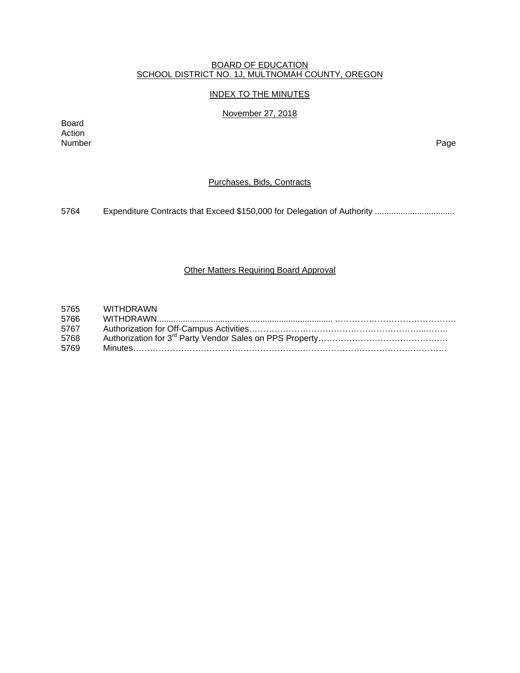# BOARD OF EDUCATION SCHOOL DISTRICT NO. 1J, MULTNOMAH COUNTY, OREGON

## INDEX TO THE MINUTES

## November 27, 2018

Board Action<br>Number Number Page

# Purchases, Bids, Contracts

5764 Expenditure Contracts that Exceed \$150,000 for Delegation of Authority .................................

## Other Matters Requiring Board Approval

| 5765 | WITHDRAWN |
|------|-----------|
| 5766 |           |
| 5767 |           |
| 5768 |           |
| 5769 |           |
|      |           |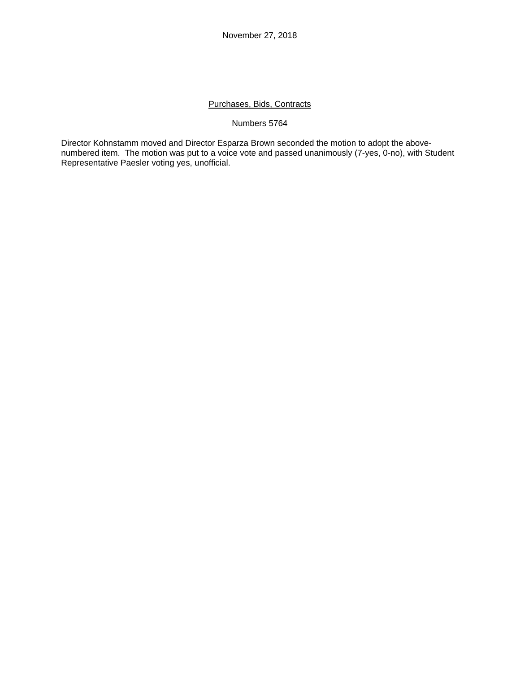# Purchases, Bids, Contracts

## Numbers 5764

Director Kohnstamm moved and Director Esparza Brown seconded the motion to adopt the abovenumbered item. The motion was put to a voice vote and passed unanimously (7-yes, 0-no), with Student Representative Paesler voting yes, unofficial.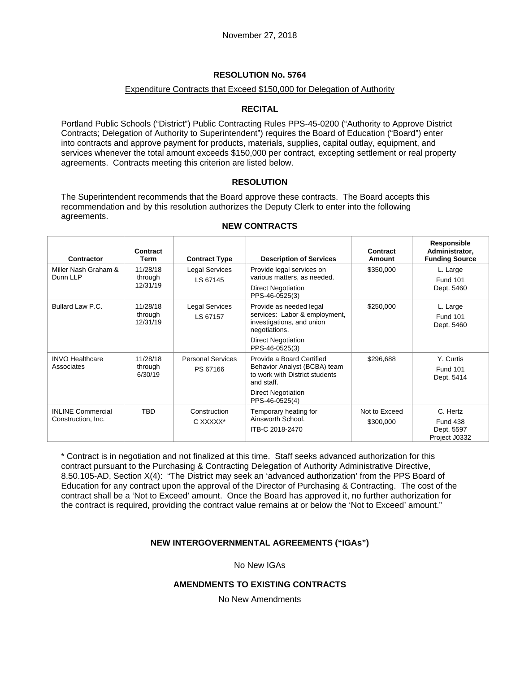# **RESOLUTION No. 5764**

## Expenditure Contracts that Exceed \$150,000 for Delegation of Authority

# **RECITAL**

Portland Public Schools ("District") Public Contracting Rules PPS-45-0200 ("Authority to Approve District Contracts; Delegation of Authority to Superintendent") requires the Board of Education ("Board") enter into contracts and approve payment for products, materials, supplies, capital outlay, equipment, and services whenever the total amount exceeds \$150,000 per contract, excepting settlement or real property agreements. Contracts meeting this criterion are listed below.

## **RESOLUTION**

The Superintendent recommends that the Board approve these contracts. The Board accepts this recommendation and by this resolution authorizes the Deputy Clerk to enter into the following agreements.

| <b>Contractor</b>                              | Contract<br>Term                | <b>Contract Type</b>                 | <b>Description of Services</b>                                                                                                                           | Contract<br>Amount         | Responsible<br>Administrator,<br><b>Funding Source</b>     |
|------------------------------------------------|---------------------------------|--------------------------------------|----------------------------------------------------------------------------------------------------------------------------------------------------------|----------------------------|------------------------------------------------------------|
| Miller Nash Graham &<br>Dunn LLP               | 11/28/18<br>through<br>12/31/19 | Legal Services<br>LS 67145           | Provide legal services on<br>various matters, as needed.<br><b>Direct Negotiation</b><br>PPS-46-0525(3)                                                  | \$350,000                  | L. Large<br><b>Fund 101</b><br>Dept. 5460                  |
| Bullard Law P.C.                               | 11/28/18<br>through<br>12/31/19 | <b>Legal Services</b><br>LS 67157    | Provide as needed legal<br>services: Labor & employment,<br>investigations, and union<br>negotiations.<br><b>Direct Negotiation</b><br>PPS-46-0525(3)    | \$250,000                  | L. Large<br><b>Fund 101</b><br>Dept. 5460                  |
| <b>INVO Healthcare</b><br>Associates           | 11/28/18<br>through<br>6/30/19  | <b>Personal Services</b><br>PS 67166 | Provide a Board Certified<br>Behavior Analyst (BCBA) team<br>to work with District students<br>and staff.<br><b>Direct Negotiation</b><br>PPS-46-0525(4) | \$296,688                  | Y. Curtis<br><b>Fund 101</b><br>Dept. 5414                 |
| <b>INLINE Commercial</b><br>Construction, Inc. | <b>TBD</b>                      | Construction<br>C XXXXX*             | Temporary heating for<br>Ainsworth School.<br>ITB-C 2018-2470                                                                                            | Not to Exceed<br>\$300,000 | C. Hertz<br><b>Fund 438</b><br>Dept. 5597<br>Project J0332 |

## **NEW CONTRACTS**

\* Contract is in negotiation and not finalized at this time. Staff seeks advanced authorization for this contract pursuant to the Purchasing & Contracting Delegation of Authority Administrative Directive, 8.50.105-AD, Section X(4): "The District may seek an 'advanced authorization' from the PPS Board of Education for any contract upon the approval of the Director of Purchasing & Contracting. The cost of the contract shall be a 'Not to Exceed' amount. Once the Board has approved it, no further authorization for the contract is required, providing the contract value remains at or below the 'Not to Exceed' amount."

# **NEW INTERGOVERNMENTAL AGREEMENTS ("IGAs")**

No New IGAs

## **AMENDMENTS TO EXISTING CONTRACTS**

No New Amendments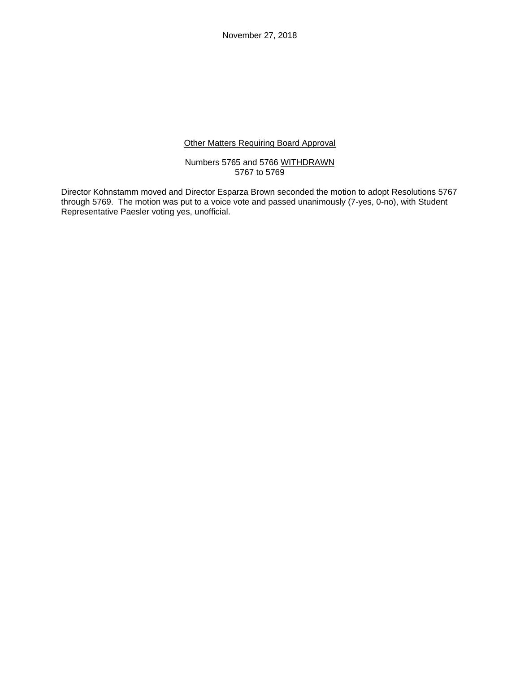November 27, 2018

## Other Matters Requiring Board Approval

Numbers 5765 and 5766 WITHDRAWN 5767 to 5769

Director Kohnstamm moved and Director Esparza Brown seconded the motion to adopt Resolutions 5767 through 5769. The motion was put to a voice vote and passed unanimously (7-yes, 0-no), with Student Representative Paesler voting yes, unofficial.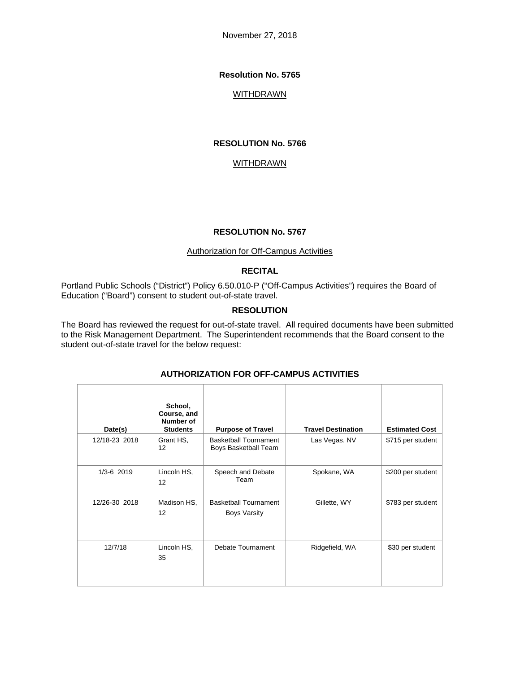November 27, 2018

### **Resolution No. 5765**

## **WITHDRAWN**

#### **RESOLUTION No. 5766**

## **WITHDRAWN**

#### **RESOLUTION No. 5767**

#### Authorization for Off-Campus Activities

# **RECITAL**

Portland Public Schools ("District") Policy 6.50.010-P ("Off-Campus Activities") requires the Board of Education ("Board") consent to student out-of-state travel.

## **RESOLUTION**

The Board has reviewed the request for out-of-state travel. All required documents have been submitted to the Risk Management Department. The Superintendent recommends that the Board consent to the student out-of-state travel for the below request:

| Date(s)        | School,<br>Course, and<br>Number of<br><b>Students</b> | <b>Purpose of Travel</b>                             | <b>Travel Destination</b> | <b>Estimated Cost</b> |
|----------------|--------------------------------------------------------|------------------------------------------------------|---------------------------|-----------------------|
| 12/18-23 2018  | Grant HS,<br>12                                        | <b>Basketball Tournament</b><br>Boys Basketball Team | Las Vegas, NV             | \$715 per student     |
| $1/3 - 6$ 2019 | Lincoln HS.<br>12                                      | Speech and Debate<br>Team                            | Spokane, WA               | \$200 per student     |
| 12/26-30 2018  | Madison HS.<br>12                                      | <b>Basketball Tournament</b><br><b>Boys Varsity</b>  | Gillette, WY              | \$783 per student     |
| 12/7/18        | Lincoln HS.<br>35                                      | Debate Tournament                                    | Ridgefield, WA            | \$30 per student      |

## **AUTHORIZATION FOR OFF-CAMPUS ACTIVITIES**